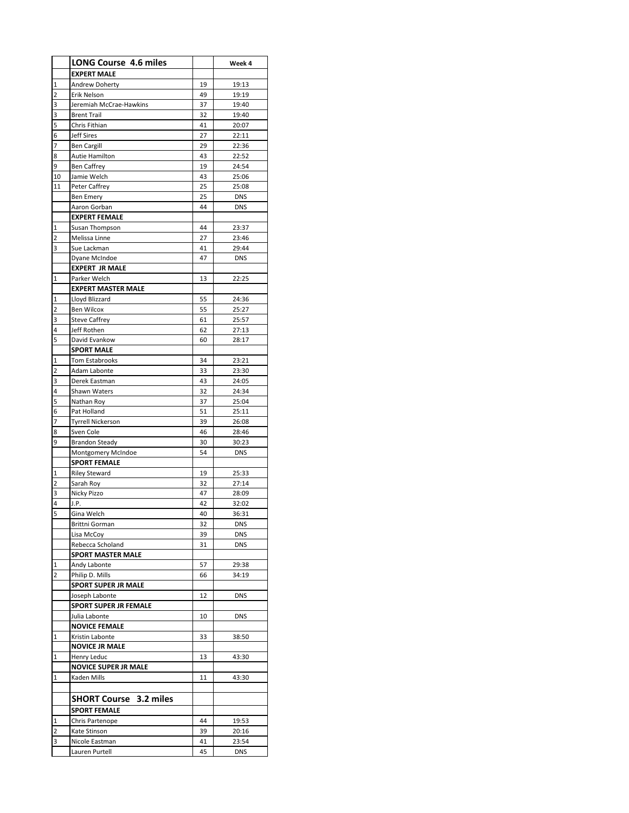|             | <b>LONG Course 4.6 miles</b>                 |          | Week 4         |
|-------------|----------------------------------------------|----------|----------------|
|             | <b>EXPERT MALE</b>                           |          |                |
| 1           | Andrew Doherty                               | 19       | 19:13          |
| 2           | Erik Nelson                                  | 49       | 19:19          |
| 3           | Jeremiah McCrae-Hawkins                      | 37       | 19:40          |
| 3           | <b>Brent Trail</b>                           | 32       | 19:40          |
| 5           | Chris Fithian                                | 41       | 20:07          |
| 6           | <b>Jeff Sires</b>                            | 27       | 22:11          |
| 7           | <b>Ben Cargill</b>                           | 29       | 22:36          |
| 8           | Autie Hamilton                               | 43       | 22:52          |
| 9           | <b>Ben Caffrey</b>                           | 19       | 24:54          |
| 10<br>11    | Jamie Welch<br>Peter Caffrey                 | 43<br>25 | 25:06<br>25:08 |
|             | <b>Ben Emery</b>                             | 25       | <b>DNS</b>     |
|             | Aaron Gorban                                 | 44       | <b>DNS</b>     |
|             | <b>EXPERT FEMALE</b>                         |          |                |
| 1           | Susan Thompson                               | 44       | 23:37          |
| 2           | Melissa Linne                                | 27       | 23:46          |
| 3           | Sue Lackman                                  | 41       | 29:44          |
|             | Dyane McIndoe                                | 47       | DNS            |
|             | <b>EXPERT JR MALE</b>                        |          |                |
| $\mathbf 1$ | Parker Welch                                 | 13       | 22:25          |
|             | <b>EXPERT MASTER MALE</b>                    |          |                |
| 1           | Lloyd Blizzard                               | 55       | 24:36          |
| 2           | <b>Ben Wilcox</b>                            | 55       | 25:27          |
| 3           | <b>Steve Caffrey</b>                         | 61       | 25:57          |
| 4           | Jeff Rothen                                  | 62       | 27:13          |
| 5           | David Evankow                                | 60       | 28:17          |
|             | <b>SPORT MALE</b>                            |          |                |
| 1           | Tom Estabrooks                               | 34       | 23:21          |
| 2           | Adam Labonte                                 | 33<br>43 | 23:30          |
| 3<br>4      | Derek Eastman<br>Shawn Waters                | 32       | 24:05<br>24:34 |
| 5           | Nathan Roy                                   | 37       | 25:04          |
| 6           | Pat Holland                                  | 51       | 25:11          |
| 7           | <b>Tyrrell Nickerson</b>                     | 39       | 26:08          |
| 8           | Sven Cole                                    | 46       | 28:46          |
| 9           | <b>Brandon Steady</b>                        | 30       | 30:23          |
|             | Montgomery McIndoe                           | 54       | <b>DNS</b>     |
|             | <b>SPORT FEMALE</b>                          |          |                |
| 1           | <b>Riley Steward</b>                         | 19       | 25:33          |
| 2           | Sarah Roy                                    | 32       | 27:14          |
| 3           | Nicky Pizzo                                  | 47       | 28:09          |
| 4           | J.P.                                         | 42       | 32:02          |
| 5           | Gina Welch                                   | 40       | 36:31          |
|             | Brittni Gorman                               | 32       | <b>DNS</b>     |
|             | Lisa McCoy                                   | 39       | <b>DNS</b>     |
|             | Rebecca Scholand<br><b>SPORT MASTER MALE</b> | 31       | <b>DNS</b>     |
| 1           | Andy Labonte                                 | 57       | 29:38          |
| 2           | Philip D. Mills                              | 66       | 34:19          |
|             | <b>SPORT SUPER JR MALE</b>                   |          |                |
|             | Joseph Labonte                               | 12       | <b>DNS</b>     |
|             | <b>SPORT SUPER JR FEMALE</b>                 |          |                |
|             | Julia Labonte                                | 10       | DNS            |
|             | <b>NOVICE FEMALE</b>                         |          |                |
| 1           | Kristin Labonte                              | 33       | 38:50          |
|             | <b>NOVICE JR MALE</b>                        |          |                |
| 1           | Henry Leduc                                  | 13       | 43:30          |
|             | <b>NOVICE SUPER JR MALE</b>                  |          |                |
| 1           | Kaden Mills                                  | 11       | 43:30          |
|             |                                              |          |                |
|             | <b>SHORT Course 3.2 miles</b>                |          |                |
|             | <b>SPORT FEMALE</b>                          |          |                |
| 1           | Chris Partenope                              | 44       | 19:53          |
| 2           | Kate Stinson                                 | 39       | 20:16          |
| 3           | Nicole Eastman                               | 41       | 23:54          |
|             | Lauren Purtell                               | 45       | <b>DNS</b>     |